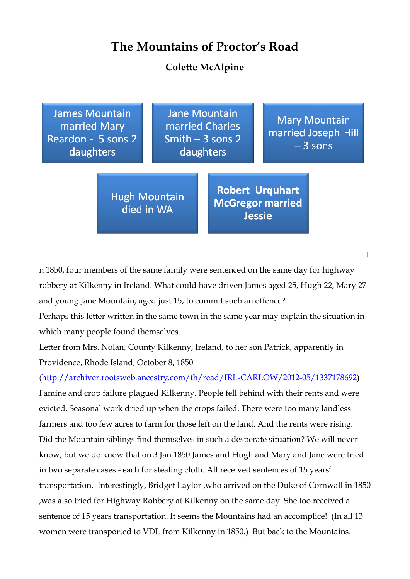## **The Mountains of Proctor's Road**

## **Colette McAlpine**

**James Mountain** married Mary Reardon - 5 sons 2 daughters

**Jane Mountain** married Charles Smith  $-3$  sons 2 daughters

**Mary Mountain** married Joseph Hill  $-3$  sons

**Hugh Mountain** died in WA

**Robert Urquhart McGregor married Jessie** 

n 1850, four members of the same family were sentenced on the same day for highway robbery at Kilkenny in Ireland. What could have driven James aged 25, Hugh 22, Mary 27 and young Jane Mountain, aged just 15, to commit such an offence?

Perhaps this letter written in the same town in the same year may explain the situation in which many people found themselves.

Letter from Mrs. Nolan, County Kilkenny, Ireland, to her son Patrick, apparently in Providence, Rhode Island, October 8, 1850

(http://archiver.rootsweb.ancestry.com/th/read/IRL-CARLOW/2012-05/1337178692) Famine and crop failure plagued Kilkenny. People fell behind with their rents and were evicted. Seasonal work dried up when the crops failed. There were too many landless farmers and too few acres to farm for those left on the land. And the rents were rising. Did the Mountain siblings find themselves in such a desperate situation? We will never know, but we do know that on 3 Jan 1850 James and Hugh and Mary and Jane were tried in two separate cases - each for stealing cloth. All received sentences of 15 years' transportation. Interestingly, Bridget Laylor ,who arrived on the Duke of Cornwall in 1850 ,was also tried for Highway Robbery at Kilkenny on the same day. She too received a sentence of 15 years transportation. It seems the Mountains had an accomplice! (In all 13 women were transported to VDL from Kilkenny in 1850.) But back to the Mountains.

I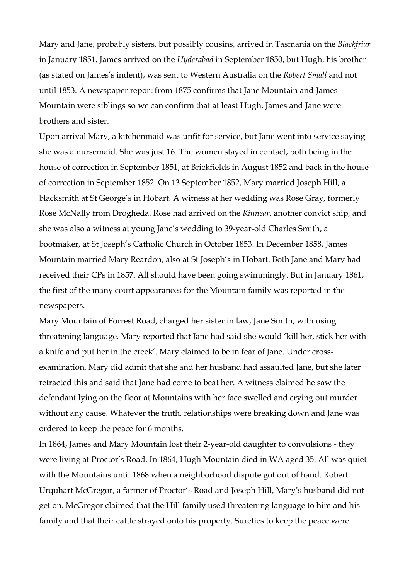Mary and Jane, probably sisters, but possibly cousins, arrived in Tasmania on the *Blackfriar* in January 1851. James arrived on the *Hyderabad* in September 1850, but Hugh, his brother (as stated on James's indent), was sent to Western Australia on the *Robert Small* and not until 1853. A newspaper report from 1875 confirms that Jane Mountain and James Mountain were siblings so we can confirm that at least Hugh, James and Jane were brothers and sister.

Upon arrival Mary, a kitchenmaid was unfit for service, but Jane went into service saying she was a nursemaid. She was just 16. The women stayed in contact, both being in the house of correction in September 1851, at Brickfields in August 1852 and back in the house of correction in September 1852. On 13 September 1852, Mary married Joseph Hill, a blacksmith at St George's in Hobart. A witness at her wedding was Rose Gray, formerly Rose McNally from Drogheda. Rose had arrived on the *Kinnear*, another convict ship, and she was also a witness at young Jane's wedding to 39-year-old Charles Smith, a bootmaker, at St Joseph's Catholic Church in October 1853. In December 1858, James Mountain married Mary Reardon, also at St Joseph's in Hobart. Both Jane and Mary had received their CPs in 1857. All should have been going swimmingly. But in January 1861, the first of the many court appearances for the Mountain family was reported in the newspapers.

Mary Mountain of Forrest Road, charged her sister in law, Jane Smith, with using threatening language. Mary reported that Jane had said she would 'kill her, stick her with a knife and put her in the creek'. Mary claimed to be in fear of Jane. Under crossexamination, Mary did admit that she and her husband had assaulted Jane, but she later retracted this and said that Jane had come to beat her. A witness claimed he saw the defendant lying on the floor at Mountains with her face swelled and crying out murder without any cause. Whatever the truth, relationships were breaking down and Jane was ordered to keep the peace for 6 months.

In 1864, James and Mary Mountain lost their 2-year-old daughter to convulsions - they were living at Proctor's Road. In 1864, Hugh Mountain died in WA aged 35. All was quiet with the Mountains until 1868 when a neighborhood dispute got out of hand. Robert Urquhart McGregor, a farmer of Proctor's Road and Joseph Hill, Mary's husband did not get on. McGregor claimed that the Hill family used threatening language to him and his family and that their cattle strayed onto his property. Sureties to keep the peace were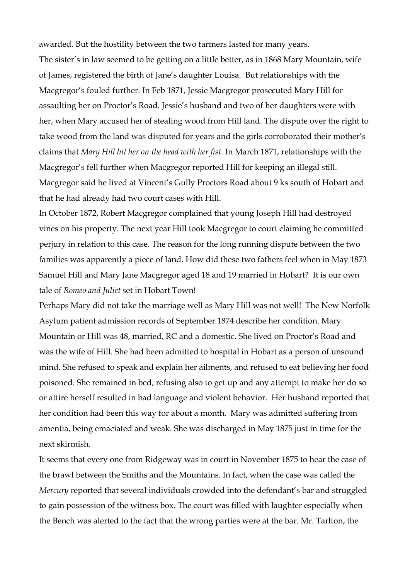awarded. But the hostility between the two farmers lasted for many years. The sister's in law seemed to be getting on a little better, as in 1868 Mary Mountain, wife of James, registered the birth of Jane's daughter Louisa. But relationships with the Macgregor's fouled further. In Feb 1871, Jessie Macgregor prosecuted Mary Hill for assaulting her on Proctor's Road. Jessie's husband and two of her daughters were with her, when Mary accused her of stealing wood from Hill land. The dispute over the right to take wood from the land was disputed for years and the girls corroborated their mother's claims that *Mary Hill hit her on the head with her fist*. In March 1871, relationships with the Macgregor's fell further when Macgregor reported Hill for keeping an illegal still. Macgregor said he lived at Vincent's Gully Proctors Road about 9 ks south of Hobart and that he had already had two court cases with Hill.

In October 1872, Robert Macgregor complained that young Joseph Hill had destroyed vines on his property. The next year Hill took Macgregor to court claiming he committed perjury in relation to this case. The reason for the long running dispute between the two families was apparently a piece of land. How did these two fathers feel when in May 1873 Samuel Hill and Mary Jane Macgregor aged 18 and 19 married in Hobart? It is our own tale of *Romeo and Juliet* set in Hobart Town!

Perhaps Mary did not take the marriage well as Mary Hill was not well! The New Norfolk Asylum patient admission records of September 1874 describe her condition. Mary Mountain or Hill was 48, married, RC and a domestic. She lived on Proctor's Road and was the wife of Hill. She had been admitted to hospital in Hobart as a person of unsound mind. She refused to speak and explain her ailments, and refused to eat believing her food poisoned. She remained in bed, refusing also to get up and any attempt to make her do so or attire herself resulted in bad language and violent behavior. Her husband reported that her condition had been this way for about a month. Mary was admitted suffering from amentia, being emaciated and weak. She was discharged in May 1875 just in time for the next skirmish.

It seems that every one from Ridgeway was in court in November 1875 to hear the case of the brawl between the Smiths and the Mountains. In fact, when the case was called the *Mercury* reported that several individuals crowded into the defendant's bar and struggled to gain possession of the witness box. The court was filled with laughter especially when the Bench was alerted to the fact that the wrong parties were at the bar. Mr. Tarlton, the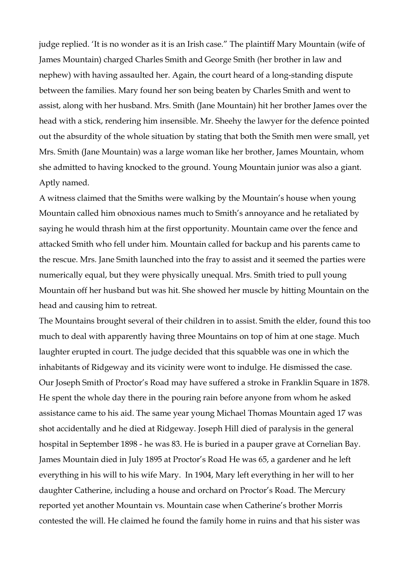judge replied. 'It is no wonder as it is an Irish case." The plaintiff Mary Mountain (wife of James Mountain) charged Charles Smith and George Smith (her brother in law and nephew) with having assaulted her. Again, the court heard of a long-standing dispute between the families. Mary found her son being beaten by Charles Smith and went to assist, along with her husband. Mrs. Smith (Jane Mountain) hit her brother James over the head with a stick, rendering him insensible. Mr. Sheehy the lawyer for the defence pointed out the absurdity of the whole situation by stating that both the Smith men were small, yet Mrs. Smith (Jane Mountain) was a large woman like her brother, James Mountain, whom she admitted to having knocked to the ground. Young Mountain junior was also a giant. Aptly named.

A witness claimed that the Smiths were walking by the Mountain's house when young Mountain called him obnoxious names much to Smith's annoyance and he retaliated by saying he would thrash him at the first opportunity. Mountain came over the fence and attacked Smith who fell under him. Mountain called for backup and his parents came to the rescue. Mrs. Jane Smith launched into the fray to assist and it seemed the parties were numerically equal, but they were physically unequal. Mrs. Smith tried to pull young Mountain off her husband but was hit. She showed her muscle by hitting Mountain on the head and causing him to retreat.

The Mountains brought several of their children in to assist. Smith the elder, found this too much to deal with apparently having three Mountains on top of him at one stage. Much laughter erupted in court. The judge decided that this squabble was one in which the inhabitants of Ridgeway and its vicinity were wont to indulge. He dismissed the case. Our Joseph Smith of Proctor's Road may have suffered a stroke in Franklin Square in 1878. He spent the whole day there in the pouring rain before anyone from whom he asked assistance came to his aid. The same year young Michael Thomas Mountain aged 17 was shot accidentally and he died at Ridgeway. Joseph Hill died of paralysis in the general hospital in September 1898 - he was 83. He is buried in a pauper grave at Cornelian Bay. James Mountain died in July 1895 at Proctor's Road He was 65, a gardener and he left everything in his will to his wife Mary. In 1904, Mary left everything in her will to her daughter Catherine, including a house and orchard on Proctor's Road. The Mercury reported yet another Mountain vs. Mountain case when Catherine's brother Morris contested the will. He claimed he found the family home in ruins and that his sister was